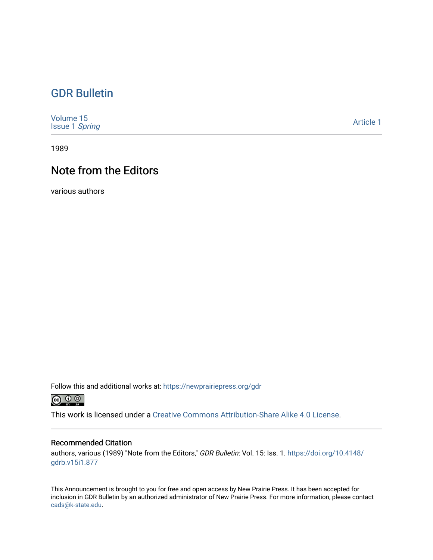#### [GDR Bulletin](https://newprairiepress.org/gdr)

| Volume 15<br>Issue 1 Spring | <b>Article 1</b> |
|-----------------------------|------------------|
|-----------------------------|------------------|

1989

## Note from the Editors

various authors

Follow this and additional works at: [https://newprairiepress.org/gdr](https://newprairiepress.org/gdr?utm_source=newprairiepress.org%2Fgdr%2Fvol15%2Fiss1%2F1&utm_medium=PDF&utm_campaign=PDFCoverPages) 



This work is licensed under a [Creative Commons Attribution-Share Alike 4.0 License.](https://creativecommons.org/licenses/by-sa/4.0/)

#### Recommended Citation

authors, various (1989) "Note from the Editors," GDR Bulletin: Vol. 15: Iss. 1. [https://doi.org/10.4148/](https://doi.org/10.4148/gdrb.v15i1.877) [gdrb.v15i1.877](https://doi.org/10.4148/gdrb.v15i1.877)

This Announcement is brought to you for free and open access by New Prairie Press. It has been accepted for inclusion in GDR Bulletin by an authorized administrator of New Prairie Press. For more information, please contact [cads@k-state.edu.](mailto:cads@k-state.edu)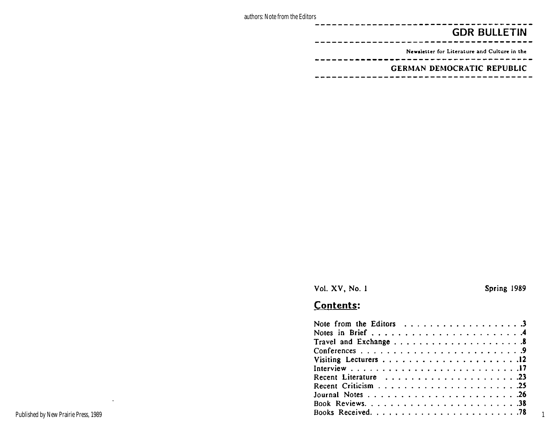authors: Note from the Editors

## **GDR BULLETIN**

Newsletter for Literature and Culture in the

**GERMAN DEMOCRATIC REPUBLIC** 

Vol. XV, No. 1 Spring 1989

1

# **Contents:**

 $\mathcal{L}$